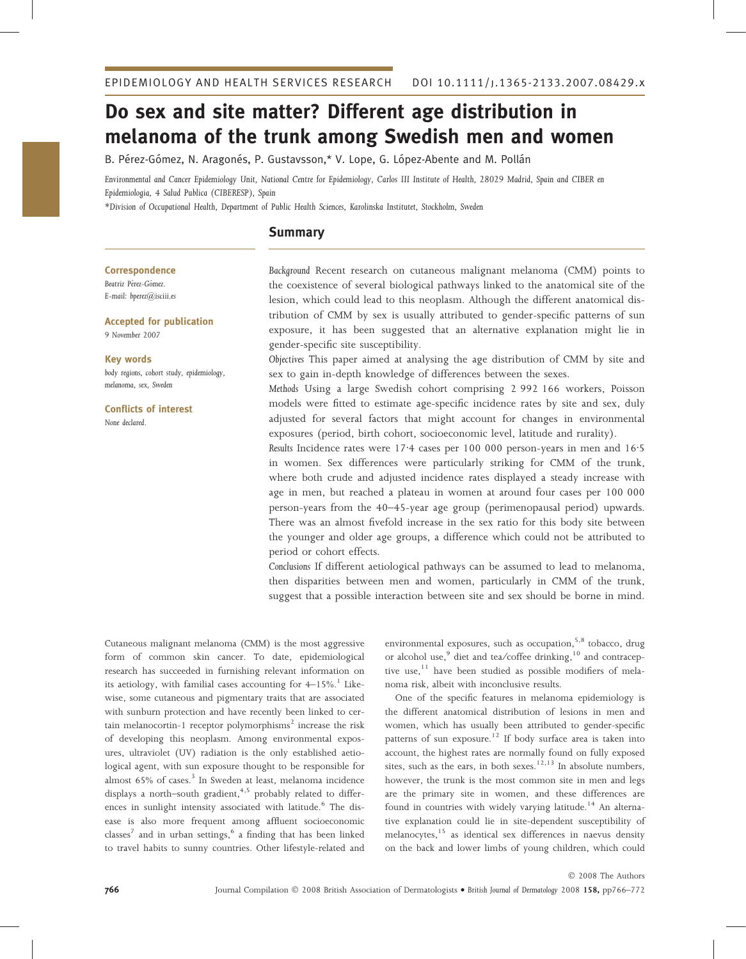# Do sex and site matter? Different age distribution in melanoma of the trunk among Swedish men and women

B. Pérez-Gómez, N. Aragonés, P. Gustavsson,\* V. Lope, G. López-Abente and M. Pollán

Environmental and Cancer Epidemiology Unit, National Centre for Epidemiology, Carlos III Institute of Health, 28029 Madrid, Spain and CIBER en Epidemiologia, 4 Salud Publica (CIBERESP), Spain

\*Division of Occupational Health, Department of Public Health Sciences, Karolinska Institutet, Stockholm, Sweden

## Summary

#### **Correspondence**

Beatriz Pérez-Gómez. E-mail: bperez@isciii.es

# Accepted for publication

9 November 2007

#### Key words

body regions, cohort study, epidemiology, melanoma, sex, Sweden

Conflicts of interest

None declared.

Background Recent research on cutaneous malignant melanoma (CMM) points to the coexistence of several biological pathways linked to the anatomical site of the lesion, which could lead to this neoplasm. Although the different anatomical distribution of CMM by sex is usually attributed to gender-specific patterns of sun exposure, it has been suggested that an alternative explanation might lie in gender-specific site susceptibility.

Objectives This paper aimed at analysing the age distribution of CMM by site and sex to gain in-depth knowledge of differences between the sexes.

Methods Using a large Swedish cohort comprising 2 992 166 workers, Poisson models were fitted to estimate age-specific incidence rates by site and sex, duly adjusted for several factors that might account for changes in environmental exposures (period, birth cohort, socioeconomic level, latitude and rurality).

Results Incidence rates were 17<sup>-4</sup> cases per 100 000 person-years in men and 16<sup>-5</sup> in women. Sex differences were particularly striking for CMM of the trunk, where both crude and adjusted incidence rates displayed a steady increase with age in men, but reached a plateau in women at around four cases per 100 000 person-years from the 40–45-year age group (perimenopausal period) upwards. There was an almost fivefold increase in the sex ratio for this body site between the younger and older age groups, a difference which could not be attributed to period or cohort effects.

Conclusions If different aetiological pathways can be assumed to lead to melanoma, then disparities between men and women, particularly in CMM of the trunk, suggest that a possible interaction between site and sex should be borne in mind.

Cutaneous malignant melanoma (CMM) is the most aggressive form of common skin cancer. To date, epidemiological research has succeeded in furnishing relevant information on its aetiology, with familial cases accounting for  $4-15\%$ .<sup>1</sup> Likewise, some cutaneous and pigmentary traits that are associated with sunburn protection and have recently been linked to certain melanocortin-1 receptor polymorphisms<sup>2</sup> increase the risk of developing this neoplasm. Among environmental exposures, ultraviolet (UV) radiation is the only established aetiological agent, with sun exposure thought to be responsible for almost  $65\%$  of cases.<sup>3</sup> In Sweden at least, melanoma incidence displays a north–south gradient,<sup>4,5</sup> probably related to differences in sunlight intensity associated with latitude.<sup>6</sup> The disease is also more frequent among affluent socioeconomic  $classes<sup>7</sup>$  and in urban settings,<sup>6</sup> a finding that has been linked to travel habits to sunny countries. Other lifestyle-related and

environmental exposures, such as occupation,<sup>5,8</sup> tobacco, drug or alcohol use, $9$  diet and tea/coffee drinking, $10$  and contraceptive use, $11$  have been studied as possible modifiers of melanoma risk, albeit with inconclusive results.

One of the specific features in melanoma epidemiology is the different anatomical distribution of lesions in men and women, which has usually been attributed to gender-specific patterns of sun exposure.<sup>12</sup> If body surface area is taken into account, the highest rates are normally found on fully exposed sites, such as the ears, in both sexes.<sup>12,13</sup> In absolute numbers, however, the trunk is the most common site in men and legs are the primary site in women, and these differences are found in countries with widely varying latitude.<sup>14</sup> An alternative explanation could lie in site-dependent susceptibility of melanocytes,<sup>15</sup> as identical sex differences in naevus density on the back and lower limbs of young children, which could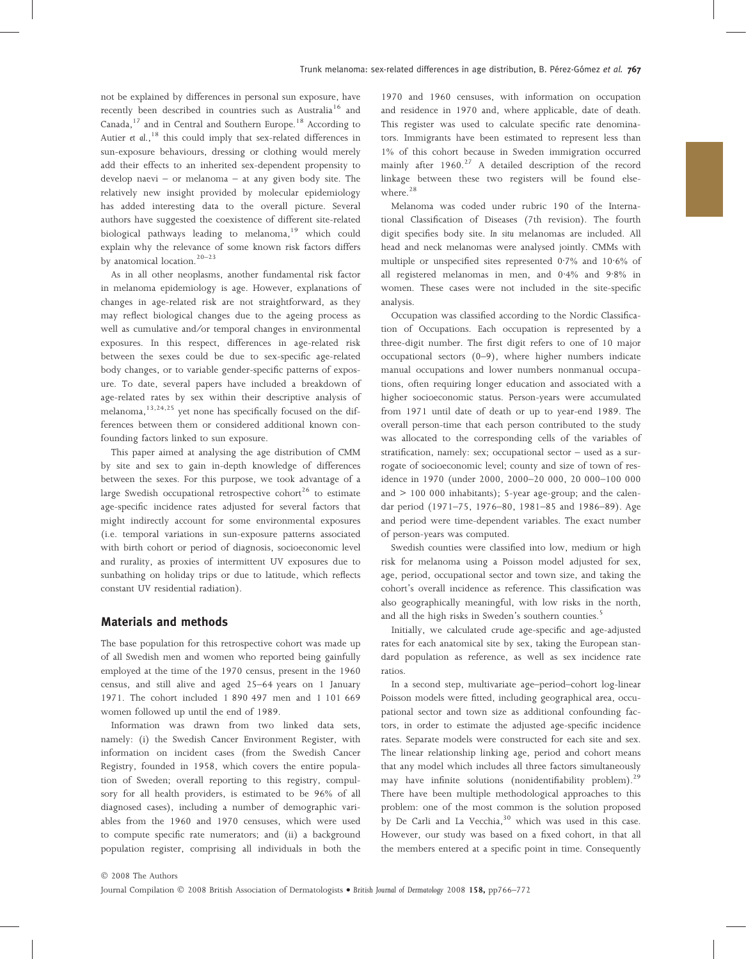not be explained by differences in personal sun exposure, have recently been described in countries such as Australia<sup>16</sup> and Canada,<sup>17</sup> and in Central and Southern Europe.<sup>18</sup> According to Autier et al.,<sup>18</sup> this could imply that sex-related differences in sun-exposure behaviours, dressing or clothing would merely add their effects to an inherited sex-dependent propensity to develop naevi – or melanoma – at any given body site. The relatively new insight provided by molecular epidemiology has added interesting data to the overall picture. Several authors have suggested the coexistence of different site-related biological pathways leading to melanoma,<sup>19</sup> which could explain why the relevance of some known risk factors differs by anatomical location.20–23

As in all other neoplasms, another fundamental risk factor in melanoma epidemiology is age. However, explanations of changes in age-related risk are not straightforward, as they may reflect biological changes due to the ageing process as well as cumulative and/or temporal changes in environmental exposures. In this respect, differences in age-related risk between the sexes could be due to sex-specific age-related body changes, or to variable gender-specific patterns of exposure. To date, several papers have included a breakdown of age-related rates by sex within their descriptive analysis of melanoma,<sup>13,24,25</sup> yet none has specifically focused on the differences between them or considered additional known confounding factors linked to sun exposure.

This paper aimed at analysing the age distribution of CMM by site and sex to gain in-depth knowledge of differences between the sexes. For this purpose, we took advantage of a large Swedish occupational retrospective cohort<sup>26</sup> to estimate age-specific incidence rates adjusted for several factors that might indirectly account for some environmental exposures (i.e. temporal variations in sun-exposure patterns associated with birth cohort or period of diagnosis, socioeconomic level and rurality, as proxies of intermittent UV exposures due to sunbathing on holiday trips or due to latitude, which reflects constant UV residential radiation).

## Materials and methods

The base population for this retrospective cohort was made up of all Swedish men and women who reported being gainfully employed at the time of the 1970 census, present in the 1960 census, and still alive and aged 25–64 years on 1 January 1971. The cohort included 1 890 497 men and 1 101 669 women followed up until the end of 1989.

Information was drawn from two linked data sets, namely: (i) the Swedish Cancer Environment Register, with information on incident cases (from the Swedish Cancer Registry, founded in 1958, which covers the entire population of Sweden; overall reporting to this registry, compulsory for all health providers, is estimated to be 96% of all diagnosed cases), including a number of demographic variables from the 1960 and 1970 censuses, which were used to compute specific rate numerators; and (ii) a background population register, comprising all individuals in both the

1970 and 1960 censuses, with information on occupation and residence in 1970 and, where applicable, date of death. This register was used to calculate specific rate denominators. Immigrants have been estimated to represent less than 1% of this cohort because in Sweden immigration occurred mainly after 1960.<sup>27</sup> A detailed description of the record linkage between these two registers will be found elsewhere.<sup>28</sup>

Melanoma was coded under rubric 190 of the International Classification of Diseases (7th revision). The fourth digit specifies body site. In situ melanomas are included. All head and neck melanomas were analysed jointly. CMMs with multiple or unspecified sites represented  $0.7\%$  and  $10.6\%$  of all registered melanomas in men, and  $0.4\%$  and  $9.8\%$  in women. These cases were not included in the site-specific analysis.

Occupation was classified according to the Nordic Classification of Occupations. Each occupation is represented by a three-digit number. The first digit refers to one of 10 major occupational sectors (0–9), where higher numbers indicate manual occupations and lower numbers nonmanual occupations, often requiring longer education and associated with a higher socioeconomic status. Person-years were accumulated from 1971 until date of death or up to year-end 1989. The overall person-time that each person contributed to the study was allocated to the corresponding cells of the variables of stratification, namely: sex; occupational sector – used as a surrogate of socioeconomic level; county and size of town of residence in 1970 (under 2000, 2000–20 000, 20 000–100 000 and > 100 000 inhabitants); 5-year age-group; and the calendar period (1971–75, 1976–80, 1981–85 and 1986–89). Age and period were time-dependent variables. The exact number of person-years was computed.

Swedish counties were classified into low, medium or high risk for melanoma using a Poisson model adjusted for sex, age, period, occupational sector and town size, and taking the cohort's overall incidence as reference. This classification was also geographically meaningful, with low risks in the north, and all the high risks in Sweden's southern counties.<sup>5</sup>

Initially, we calculated crude age-specific and age-adjusted rates for each anatomical site by sex, taking the European standard population as reference, as well as sex incidence rate ratios.

In a second step, multivariate age–period–cohort log-linear Poisson models were fitted, including geographical area, occupational sector and town size as additional confounding factors, in order to estimate the adjusted age-specific incidence rates. Separate models were constructed for each site and sex. The linear relationship linking age, period and cohort means that any model which includes all three factors simultaneously may have infinite solutions (nonidentifiability problem).<sup>29</sup> There have been multiple methodological approaches to this problem: one of the most common is the solution proposed by De Carli and La Vecchia,<sup>30</sup> which was used in this case. However, our study was based on a fixed cohort, in that all the members entered at a specific point in time. Consequently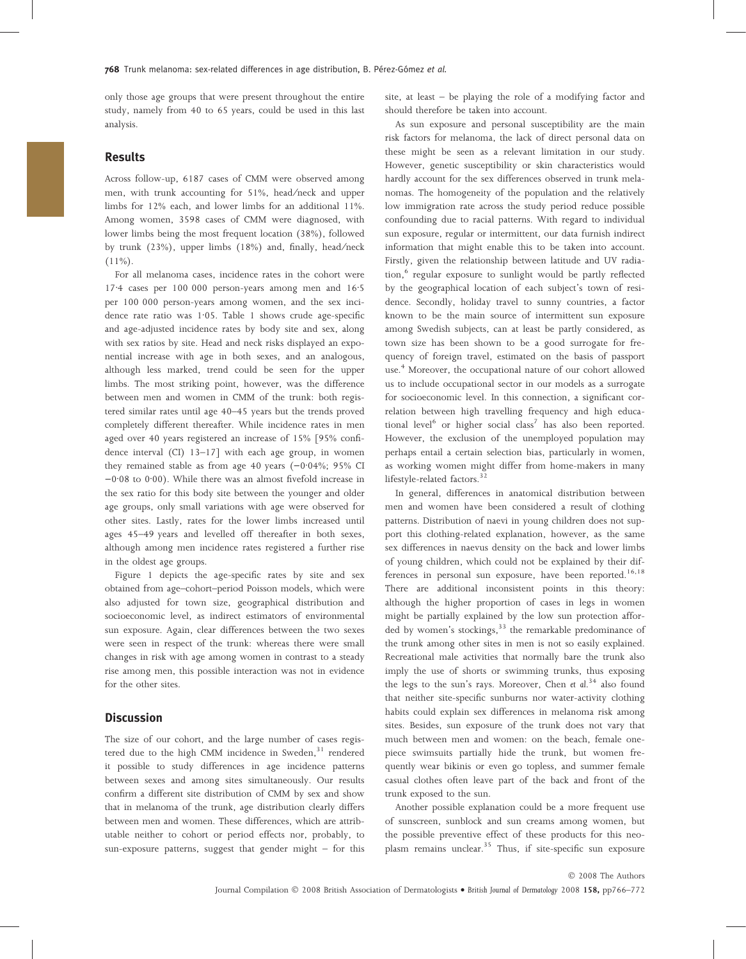only those age groups that were present throughout the entire study, namely from 40 to 65 years, could be used in this last analysis.

## Results

Across follow-up, 6187 cases of CMM were observed among men, with trunk accounting for 51%, head/neck and upper limbs for 12% each, and lower limbs for an additional 11%. Among women, 3598 cases of CMM were diagnosed, with lower limbs being the most frequent location (38%), followed by trunk  $(23%)$ , upper limbs  $(18%)$  and, finally, head/neck  $(11\%)$ .

For all melanoma cases, incidence rates in the cohort were 17<sup>-4</sup> cases per 100 000 person-years among men and 16<sup>-5</sup> per 100 000 person-years among women, and the sex incidence rate ratio was  $1.05$ . Table 1 shows crude age-specific and age-adjusted incidence rates by body site and sex, along with sex ratios by site. Head and neck risks displayed an exponential increase with age in both sexes, and an analogous, although less marked, trend could be seen for the upper limbs. The most striking point, however, was the difference between men and women in CMM of the trunk: both registered similar rates until age 40–45 years but the trends proved completely different thereafter. While incidence rates in men aged over 40 years registered an increase of 15% [95% confidence interval (CI) 13–17] with each age group, in women they remained stable as from age 40 years  $(-0.04\%; 95\% \text{ CI}$  $-0.08$  to 0.00). While there was an almost fivefold increase in the sex ratio for this body site between the younger and older age groups, only small variations with age were observed for other sites. Lastly, rates for the lower limbs increased until ages 45–49 years and levelled off thereafter in both sexes, although among men incidence rates registered a further rise in the oldest age groups.

Figure 1 depicts the age-specific rates by site and sex obtained from age–cohort–period Poisson models, which were also adjusted for town size, geographical distribution and socioeconomic level, as indirect estimators of environmental sun exposure. Again, clear differences between the two sexes were seen in respect of the trunk: whereas there were small changes in risk with age among women in contrast to a steady rise among men, this possible interaction was not in evidence for the other sites.

#### **Discussion**

The size of our cohort, and the large number of cases registered due to the high CMM incidence in Sweden, $31$  rendered it possible to study differences in age incidence patterns between sexes and among sites simultaneously. Our results confirm a different site distribution of CMM by sex and show that in melanoma of the trunk, age distribution clearly differs between men and women. These differences, which are attributable neither to cohort or period effects nor, probably, to sun-exposure patterns, suggest that gender might – for this site, at least – be playing the role of a modifying factor and should therefore be taken into account.

As sun exposure and personal susceptibility are the main risk factors for melanoma, the lack of direct personal data on these might be seen as a relevant limitation in our study. However, genetic susceptibility or skin characteristics would hardly account for the sex differences observed in trunk melanomas. The homogeneity of the population and the relatively low immigration rate across the study period reduce possible confounding due to racial patterns. With regard to individual sun exposure, regular or intermittent, our data furnish indirect information that might enable this to be taken into account. Firstly, given the relationship between latitude and UV radiation,<sup>6</sup> regular exposure to sunlight would be partly reflected by the geographical location of each subject's town of residence. Secondly, holiday travel to sunny countries, a factor known to be the main source of intermittent sun exposure among Swedish subjects, can at least be partly considered, as town size has been shown to be a good surrogate for frequency of foreign travel, estimated on the basis of passport use.<sup>4</sup> Moreover, the occupational nature of our cohort allowed us to include occupational sector in our models as a surrogate for socioeconomic level. In this connection, a significant correlation between high travelling frequency and high educational level<sup>6</sup> or higher social class<sup>7</sup> has also been reported. However, the exclusion of the unemployed population may perhaps entail a certain selection bias, particularly in women, as working women might differ from home-makers in many lifestyle-related factors.<sup>32</sup>

In general, differences in anatomical distribution between men and women have been considered a result of clothing patterns. Distribution of naevi in young children does not support this clothing-related explanation, however, as the same sex differences in naevus density on the back and lower limbs of young children, which could not be explained by their differences in personal sun exposure, have been reported.<sup>16,18</sup> There are additional inconsistent points in this theory: although the higher proportion of cases in legs in women might be partially explained by the low sun protection afforded by women's stockings,<sup>33</sup> the remarkable predominance of the trunk among other sites in men is not so easily explained. Recreational male activities that normally bare the trunk also imply the use of shorts or swimming trunks, thus exposing the legs to the sun's rays. Moreover, Chen et  $al.^{34}$  also found that neither site-specific sunburns nor water-activity clothing habits could explain sex differences in melanoma risk among sites. Besides, sun exposure of the trunk does not vary that much between men and women: on the beach, female onepiece swimsuits partially hide the trunk, but women frequently wear bikinis or even go topless, and summer female casual clothes often leave part of the back and front of the trunk exposed to the sun.

Another possible explanation could be a more frequent use of sunscreen, sunblock and sun creams among women, but the possible preventive effect of these products for this neoplasm remains unclear.<sup>35</sup> Thus, if site-specific sun exposure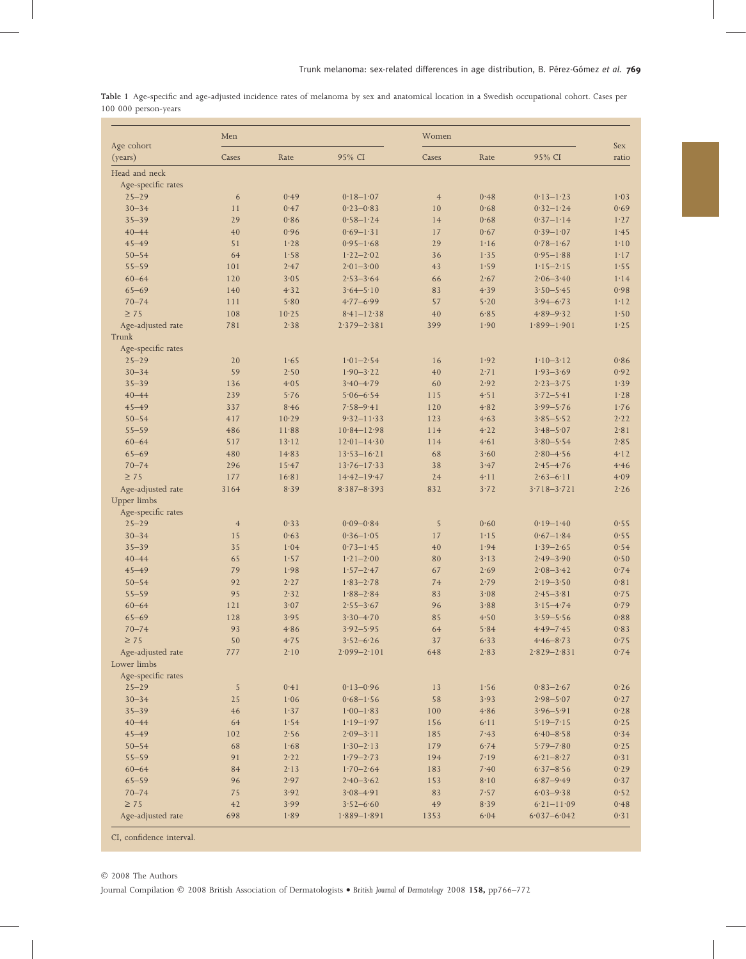Table 1 Age-specific and age-adjusted incidence rates of melanoma by sex and anatomical location in a Swedish occupational cohort. Cases per 100 000 person-years

| Age cohort<br>(years) | Men            |        |                 | Women          |      |                 | Sex      |
|-----------------------|----------------|--------|-----------------|----------------|------|-----------------|----------|
|                       | Cases          | Rate   | 95% CI          | Cases          | Rate | 95% CI          | ratio    |
| Head and neck         |                |        |                 |                |      |                 |          |
| Age-specific rates    |                |        |                 |                |      |                 |          |
| $25 - 29$             | 6              | 0.49   | $0.18 - 1.07$   | $\overline{4}$ | 0.48 | $0.13 - 1.23$   | 1.03     |
| $30 - 34$             | 11             | 0.47   | $0.23 - 0.83$   | 10             | 0.68 | $0.32 - 1.24$   | 0.69     |
| $35 - 39$             | 29             | 0.86   | $0.58 - 1.24$   | 14             | 0.68 | $0.37 - 1.14$   | 1.27     |
| $40 - 44$             | 40             | 0.96   | $0.69 - 1.31$   | 17             | 0.67 | $0.39 - 1.07$   | 1.45     |
| $45 - 49$             | 51             | 1.28   | $0.95 - 1.68$   | 29             | 1.16 | $0.78 - 1.67$   | $1-10$   |
| $50 - 54$             | 64             | 1.58   | $1.22 - 2.02$   | 36             | 1.35 | $0.95 - 1.88$   | $1 - 17$ |
| $55 - 59$             | 101            | 2.47   | $2.01 - 3.00$   | 43             | 1.59 | $1.15 - 2.15$   | 1.55     |
| $60 - 64$             | 120            | 3.05   | $2.53 - 3.64$   | 66             | 2.67 | $2.06 - 3.40$   | 1.14     |
| $65 - 69$             | 140            | 4.32   | $3.64 - 5.10$   | 83             | 4.39 | $3.50 - 5.45$   | 0.98     |
| $70 - 74$             | 111            | 5.80   | $4.77 - 6.99$   | 57             | 5.20 | $3.94 - 6.73$   | $1 - 12$ |
| $\geq 75$             | 108            | 10.25  | $8.41 - 12.38$  | 40             | 6.85 | $4.89 - 9.32$   | 1.50     |
| Age-adjusted rate     | 781            | 2.38   | $2.379 - 2.381$ | 399            | 1.90 | $1.899 - 1.901$ | 1.25     |
| Trunk                 |                |        |                 |                |      |                 |          |
| Age-specific rates    |                |        |                 |                |      |                 |          |
| $25 - 29$             | 20             | 1.65   | $1.01 - 2.54$   | 16             | 1.92 | $1.10 - 3.12$   | 0.86     |
| $30 - 34$             | 59             | 2.50   | $1.90 - 3.22$   | 40             | 2.71 | $1.93 - 3.69$   | 0.92     |
| $35 - 39$             | 136            | 4.05   | $3.40 - 4.79$   | 60             | 2.92 | $2.23 - 3.75$   | 1.39     |
| $40 - 44$             | 239            | 5.76   | $5.06 - 6.54$   | 115            | 4.51 | $3.72 - 5.41$   | 1.28     |
| $45 - 49$             | 337            | 8.46   | $7.58 - 9.41$   | 120            | 4.82 | $3.99 - 5.76$   | 1.76     |
| $50 - 54$             | 417            | 10.29  | $9.32 - 11.33$  | 123            | 4.63 | $3.85 - 5.52$   | 2.22     |
| $55 - 59$             | 486            | 11.88  | $10.84 - 12.98$ | 114            | 4.22 | $3.48 - 5.07$   | 2.81     |
| $60 - 64$             | 517            | 13.12  | $12.01 - 14.30$ | 114            | 4.61 | $3.80 - 5.54$   | 2.85     |
| $65 - 69$             | 480            | 14.83  | $13.53 - 16.21$ | 68             | 3.60 | $2.80 - 4.56$   | 4.12     |
| $70 - 74$             | 296            | 15.47  | $13.76 - 17.33$ | 38             | 3.47 | $2.45 - 4.76$   | 4.46     |
| $\geq 75$             | 177            | 16.81  | $14.42 - 19.47$ | 24             | 4.11 | $2.63 - 6.11$   | 4.09     |
| Age-adjusted rate     | 3164           | 8.39   | $8.387 - 8.393$ | 832            | 3.72 | $3.718 - 3.721$ | 2.26     |
| <b>Upper limbs</b>    |                |        |                 |                |      |                 |          |
| Age-specific rates    |                |        |                 |                |      |                 |          |
| $25 - 29$             | $\overline{4}$ | 0.33   | $0.09 - 0.84$   | 5              | 0.60 | $0.19 - 1.40$   | 0.55     |
| $30 - 34$             | 15             | 0.63   | $0.36 - 1.05$   | 17             | 1.15 | $0.67 - 1.84$   | 0.55     |
| $35 - 39$             | 35             | 1.04   | $0.73 - 1.45$   | 40             | 1.94 | $1.39 - 2.65$   | 0.54     |
| $40 - 44$             | 65             | 1.57   | $1.21 - 2.00$   | 80             | 3.13 | $2.49 - 3.90$   | 0.50     |
| $45 - 49$             | 79             | 1.98   | $1.57 - 2.47$   | 67             | 2.69 | $2.08 - 3.42$   | 0.74     |
| $50 - 54$             | 92             | 2.27   | $1.83 - 2.78$   | 74             | 2.79 | $2.19 - 3.50$   | 0.81     |
| $55 - 59$             | 95             | 2.32   | $1.88 - 2.84$   | 83             | 3.08 | $2.45 - 3.81$   | 0.75     |
| $60 - 64$             | 121            | 3.07   | $2.55 - 3.67$   | 96             | 3.88 | $3.15 - 4.74$   | 0.79     |
| $65 - 69$             | 128            | 3.95   | $3.30 - 4.70$   | 85             | 4.50 | $3.59 - 5.56$   | 0.88     |
| $70 - 74$             | 93             | 4.86   | $3.92 - 5.95$   | 64             | 5.84 | $4.49 - 7.45$   | 0.83     |
| $\geq 75$             | 50             | 4.75   | $3.52 - 6.26$   | 37             | 6.33 | $4.46 - 8.73$   | 0.75     |
| Age-adjusted rate     | 777            | 2.10   | $2.099 - 2.101$ | 648            | 2.83 | $2.829 - 2.831$ | 0.74     |
| Lower limbs           |                |        |                 |                |      |                 |          |
| Age-specific rates    |                |        |                 |                |      |                 |          |
| $25 - 29$             | 5              | 0.41   | $0.13 - 0.96$   | 13             | 1.56 | $0.83 - 2.67$   | 0.26     |
| $30 - 34$             | 25             | $1.06$ | $0.68 - 1.56$   | 58             | 3.93 | $2.98 - 5.07$   | 0.27     |
| $35 - 39$             | 46             | 1.37   | $1.00 - 1.83$   | 100            | 4.86 | $3.96 - 5.91$   | 0.28     |
| $40 - 44$             | 64             | 1.54   | $1.19 - 1.97$   | 156            | 6.11 | $5.19 - 7.15$   | 0.25     |
| $45 - 49$             | 102            | 2.56   | $2.09 - 3.11$   | 185            | 7.43 | $6.40 - 8.58$   | 0.34     |
| $50 - 54$             | 68             | 1.68   | $1.30 - 2.13$   | 179            | 6.74 | $5.79 - 7.80$   | 0.25     |
| $55 - 59$             | 91             | 2.22   | $1.79 - 2.73$   | 194            | 7.19 | $6.21 - 8.27$   | 0.31     |
| $60 - 64$             | 84             | 2.13   | $1.70 - 2.64$   | 183            | 7.40 | $6.37 - 8.56$   | 0.29     |
| $65 - 59$             | 96             | 2.97   | $2.40 - 3.62$   | 153            | 8.10 | $6.87 - 9.49$   | 0.37     |
| $70 - 74$             | 75             | 3.92   | $3.08 - 4.91$   | 83             | 7.57 | $6.03 - 9.38$   | 0.52     |
| $\geq 75$             | 42             | 3.99   | $3.52 - 6.60$   | 49             | 8.39 | $6.21 - 11.09$  | 0.48     |
| Age-adjusted rate     | 698            | 1.89   | $1.889 - 1.891$ | 1353           | 6.04 | $6.037 - 6.042$ | 0.31     |

CI, confidence interval.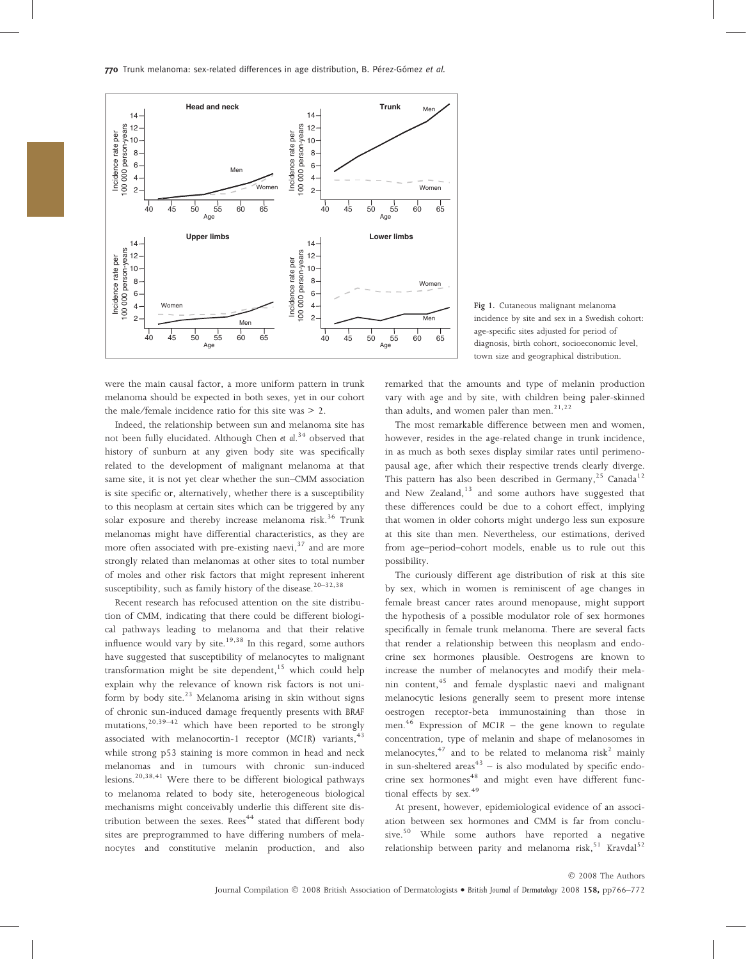770 Trunk melanoma: sex-related differences in age distribution, B. Pérez-Gómez et al.



Fig 1. Cutaneous malignant melanoma incidence by site and sex in a Swedish cohort: age-specific sites adjusted for period of diagnosis, birth cohort, socioeconomic level, town size and geographical distribution.

were the main causal factor, a more uniform pattern in trunk melanoma should be expected in both sexes, yet in our cohort the male ⁄female incidence ratio for this site was > 2.

Indeed, the relationship between sun and melanoma site has not been fully elucidated. Although Chen et al.<sup>34</sup> observed that history of sunburn at any given body site was specifically related to the development of malignant melanoma at that same site, it is not yet clear whether the sun–CMM association is site specific or, alternatively, whether there is a susceptibility to this neoplasm at certain sites which can be triggered by any solar exposure and thereby increase melanoma risk.<sup>36</sup> Trunk melanomas might have differential characteristics, as they are more often associated with pre-existing naevi, $3^7$  and are more strongly related than melanomas at other sites to total number of moles and other risk factors that might represent inherent susceptibility, such as family history of the disease. $20-32,38$ 

Recent research has refocused attention on the site distribution of CMM, indicating that there could be different biological pathways leading to melanoma and that their relative influence would vary by site.<sup>19,38</sup> In this regard, some authors have suggested that susceptibility of melanocytes to malignant transformation might be site dependent,<sup>15</sup> which could help explain why the relevance of known risk factors is not uniform by body site. $^{23}$  Melanoma arising in skin without signs of chronic sun-induced damage frequently presents with BRAF mutations,  $20,39-42$  which have been reported to be strongly associated with melanocortin-1 receptor (MC1R) variants,  $43$ while strong p53 staining is more common in head and neck melanomas and in tumours with chronic sun-induced lesions.20,38,41 Were there to be different biological pathways to melanoma related to body site, heterogeneous biological mechanisms might conceivably underlie this different site distribution between the sexes. Rees<sup>44</sup> stated that different body sites are preprogrammed to have differing numbers of melanocytes and constitutive melanin production, and also remarked that the amounts and type of melanin production vary with age and by site, with children being paler-skinned than adults, and women paler than men. $21,22$ 

The most remarkable difference between men and women, however, resides in the age-related change in trunk incidence, in as much as both sexes display similar rates until perimenopausal age, after which their respective trends clearly diverge. This pattern has also been described in Germany,<sup>25</sup> Canada<sup>12</sup> and New Zealand, $13$  and some authors have suggested that these differences could be due to a cohort effect, implying that women in older cohorts might undergo less sun exposure at this site than men. Nevertheless, our estimations, derived from age–period–cohort models, enable us to rule out this possibility.

The curiously different age distribution of risk at this site by sex, which in women is reminiscent of age changes in female breast cancer rates around menopause, might support the hypothesis of a possible modulator role of sex hormones specifically in female trunk melanoma. There are several facts that render a relationship between this neoplasm and endocrine sex hormones plausible. Oestrogens are known to increase the number of melanocytes and modify their melanin content,<sup>45</sup> and female dysplastic naevi and malignant melanocytic lesions generally seem to present more intense oestrogen receptor-beta immunostaining than those in men.46 Expression of MC1R – the gene known to regulate concentration, type of melanin and shape of melanosomes in melanocytes, $47$  and to be related to melanoma risk<sup>2</sup> mainly in sun-sheltered areas<sup> $43$ </sup> – is also modulated by specific endocrine sex hormones<sup>48</sup> and might even have different functional effects by sex.<sup>49</sup>

At present, however, epidemiological evidence of an association between sex hormones and CMM is far from conclusive.<sup>50</sup> While some authors have reported a negative relationship between parity and melanoma risk,  $51$  Kravdal $52$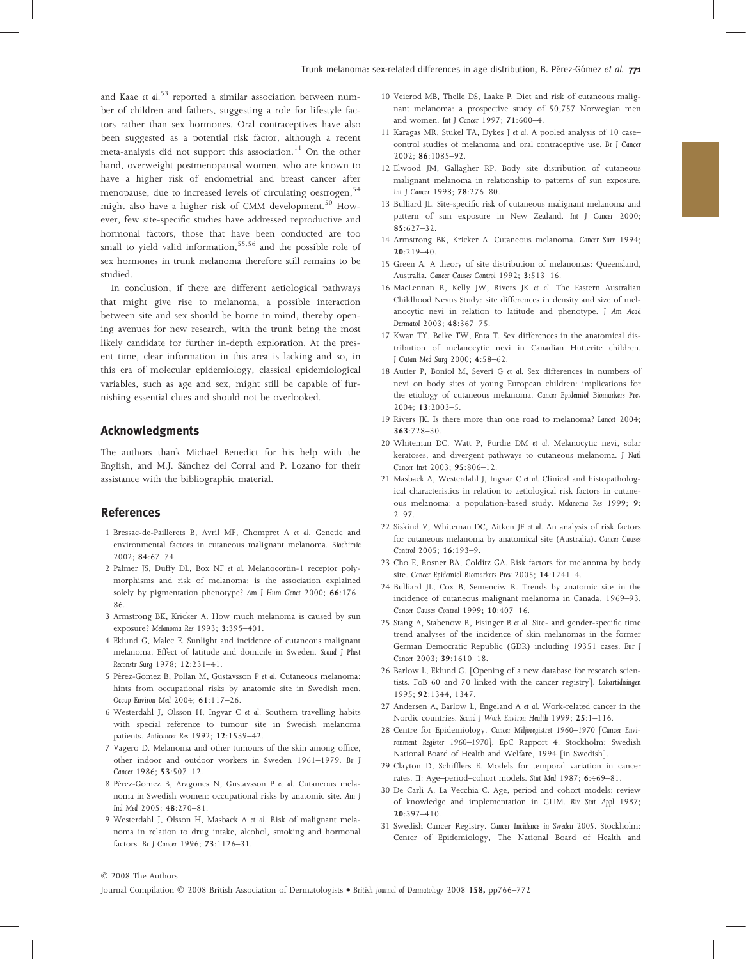and Kaae et al.<sup>53</sup> reported a similar association between number of children and fathers, suggesting a role for lifestyle factors rather than sex hormones. Oral contraceptives have also been suggested as a potential risk factor, although a recent meta-analysis did not support this association.<sup>11</sup> On the other hand, overweight postmenopausal women, who are known to have a higher risk of endometrial and breast cancer after menopause, due to increased levels of circulating oestrogen,<sup>54</sup> might also have a higher risk of CMM development.<sup>50</sup> However, few site-specific studies have addressed reproductive and hormonal factors, those that have been conducted are too small to yield valid information.<sup>55,56</sup> and the possible role of sex hormones in trunk melanoma therefore still remains to be studied.

In conclusion, if there are different aetiological pathways that might give rise to melanoma, a possible interaction between site and sex should be borne in mind, thereby opening avenues for new research, with the trunk being the most likely candidate for further in-depth exploration. At the present time, clear information in this area is lacking and so, in this era of molecular epidemiology, classical epidemiological variables, such as age and sex, might still be capable of furnishing essential clues and should not be overlooked.

## Acknowledgments

The authors thank Michael Benedict for his help with the English, and M.J. Sánchez del Corral and P. Lozano for their assistance with the bibliographic material.

## References

- 1 Bressac-de-Paillerets B, Avril MF, Chompret A et al. Genetic and environmental factors in cutaneous malignant melanoma. Biochimie 2002; 84:67–74.
- 2 Palmer JS, Duffy DL, Box NF et al. Melanocortin-1 receptor polymorphisms and risk of melanoma: is the association explained solely by pigmentation phenotype? Am J Hum Genet 2000; 66:176-86.
- 3 Armstrong BK, Kricker A. How much melanoma is caused by sun exposure? Melanoma Res 1993; 3:395–401.
- 4 Eklund G, Malec E. Sunlight and incidence of cutaneous malignant melanoma. Effect of latitude and domicile in Sweden. Scand J Plast Reconstr Surg 1978; 12:231–41.
- 5 Pérez-Gómez B, Pollan M, Gustavsson P et al. Cutaneous melanoma: hints from occupational risks by anatomic site in Swedish men. Occup Environ Med 2004; 61:117–26.
- 6 Westerdahl J, Olsson H, Ingvar C et al. Southern travelling habits with special reference to tumour site in Swedish melanoma patients. Anticancer Res 1992; 12:1539–42.
- 7 Vagero D. Melanoma and other tumours of the skin among office, other indoor and outdoor workers in Sweden 1961–1979. Br J Cancer 1986; 53:507-12.
- 8 Pérez-Gómez B, Aragones N, Gustavsson P et al. Cutaneous melanoma in Swedish women: occupational risks by anatomic site. Am J Ind Med 2005; 48:270–81.
- 9 Westerdahl J, Olsson H, Masback A et al. Risk of malignant melanoma in relation to drug intake, alcohol, smoking and hormonal factors. Br J Cancer 1996; 73:1126–31.
- 10 Veierod MB, Thelle DS, Laake P. Diet and risk of cutaneous malignant melanoma: a prospective study of 50,757 Norwegian men and women. Int J Cancer 1997; 71:600–4.
- 11 Karagas MR, Stukel TA, Dykes J et al. A pooled analysis of 10 case– control studies of melanoma and oral contraceptive use. Br J Cancer 2002; 86:1085–92.
- 12 Elwood JM, Gallagher RP. Body site distribution of cutaneous malignant melanoma in relationship to patterns of sun exposure. Int J Cancer 1998; 78:276–80.
- 13 Bulliard JL. Site-specific risk of cutaneous malignant melanoma and pattern of sun exposure in New Zealand. Int J Cancer 2000; 85:627–32.
- 14 Armstrong BK, Kricker A. Cutaneous melanoma. Cancer Surv 1994; 20:219–40.
- 15 Green A. A theory of site distribution of melanomas: Queensland, Australia. Cancer Causes Control 1992; 3:513–16.
- 16 MacLennan R, Kelly JW, Rivers JK et al. The Eastern Australian Childhood Nevus Study: site differences in density and size of melanocytic nevi in relation to latitude and phenotype. J Am Acad Dermatol 2003; 48:367–75.
- 17 Kwan TY, Belke TW, Enta T. Sex differences in the anatomical distribution of melanocytic nevi in Canadian Hutterite children. J Cutan Med Surg 2000; 4:58–62.
- 18 Autier P, Boniol M, Severi G et al. Sex differences in numbers of nevi on body sites of young European children: implications for the etiology of cutaneous melanoma. Cancer Epidemiol Biomarkers Prev 2004; 13:2003–5.
- 19 Rivers JK. Is there more than one road to melanoma? Lancet 2004; 363:728–30.
- 20 Whiteman DC, Watt P, Purdie DM et al. Melanocytic nevi, solar keratoses, and divergent pathways to cutaneous melanoma. J Natl Cancer Inst 2003; 95:806–12.
- 21 Masback A, Westerdahl J, Ingvar C et al. Clinical and histopathological characteristics in relation to aetiological risk factors in cutaneous melanoma: a population-based study. Melanoma Res 1999; 9:  $2 - 97$ .
- 22 Siskind V, Whiteman DC, Aitken JF et al. An analysis of risk factors for cutaneous melanoma by anatomical site (Australia). Cancer Causes Control 2005; 16:193–9.
- 23 Cho E, Rosner BA, Colditz GA. Risk factors for melanoma by body site. Cancer Epidemiol Biomarkers Prev 2005; 14:1241-4.
- 24 Bulliard JL, Cox B, Semenciw R. Trends by anatomic site in the incidence of cutaneous malignant melanoma in Canada, 1969–93. Cancer Causes Control 1999; 10:407–16.
- 25 Stang A, Stabenow R, Eisinger B et al. Site- and gender-specific time trend analyses of the incidence of skin melanomas in the former German Democratic Republic (GDR) including 19351 cases. Eur J Cancer 2003; 39:1610-18.
- 26 Barlow L, Eklund G. [Opening of a new database for research scientists. FoB 60 and 70 linked with the cancer registry]. Lakartidningen 1995; 92:1344, 1347.
- 27 Andersen A, Barlow L, Engeland A et al. Work-related cancer in the Nordic countries. Scand J Work Environ Health 1999; 25:1–116.
- 28 Centre for Epidemiology. Cancer Miljöregistret 1960–1970 [Cancer Environment Register 1960–1970]. EpC Rapport 4. Stockholm: Swedish National Board of Health and Welfare, 1994 [in Swedish].
- 29 Clayton D, Schifflers E. Models for temporal variation in cancer rates. II: Age–period–cohort models. Stat Med 1987; 6:469–81.
- 30 De Carli A, La Vecchia C. Age, period and cohort models: review of knowledge and implementation in GLIM. Riv Stat Appl 1987; 20:397–410.
- 31 Swedish Cancer Registry. Cancer Incidence in Sweden 2005. Stockholm: Center of Epidemiology, The National Board of Health and